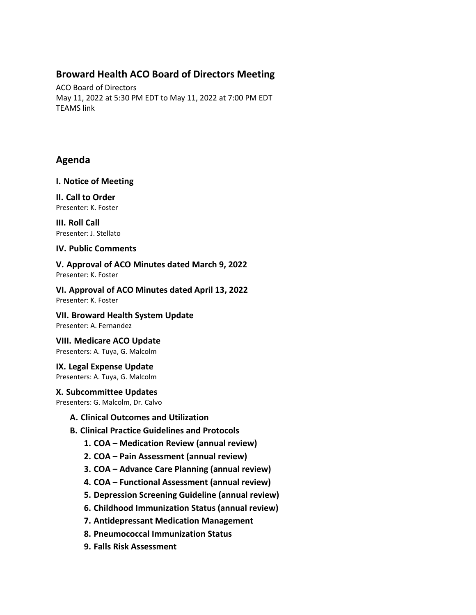## **Broward Health ACO Board of Directors Meeting**

ACO Board of Directors May 11, 2022 at 5:30 PM EDT to May 11, 2022 at 7:00 PM EDT TEAMS link

# **Agenda**

#### **I. Notice of Meeting**

**II. Call to Order** Presenter: K. Foster

**III. Roll Call** Presenter: J. Stellato

## **IV. Public Comments**

**V. Approval of ACO Minutes dated March 9, 2022** Presenter: K. Foster

**VI. Approval of ACO Minutes dated April 13, 2022** Presenter: K. Foster

**VII. Broward Health System Update** Presenter: A. Fernandez

**VIII. Medicare ACO Update** Presenters: A. Tuya, G. Malcolm

**IX. Legal Expense Update** Presenters: A. Tuya, G. Malcolm

## **X. Subcommittee Updates**

Presenters: G. Malcolm, Dr. Calvo

- **A. Clinical Outcomes and Utilization**
- **B. Clinical Practice Guidelines and Protocols**
	- **1. COA – Medication Review (annual review)**
	- **2. COA – Pain Assessment (annual review)**
	- **3. COA – Advance Care Planning (annual review)**
	- **4. COA – Functional Assessment (annual review)**
	- **5. Depression Screening Guideline (annual review)**
	- **6. Childhood Immunization Status (annual review)**
	- **7. Antidepressant Medication Management**
	- **8. Pneumococcal Immunization Status**
	- **9. Falls Risk Assessment**